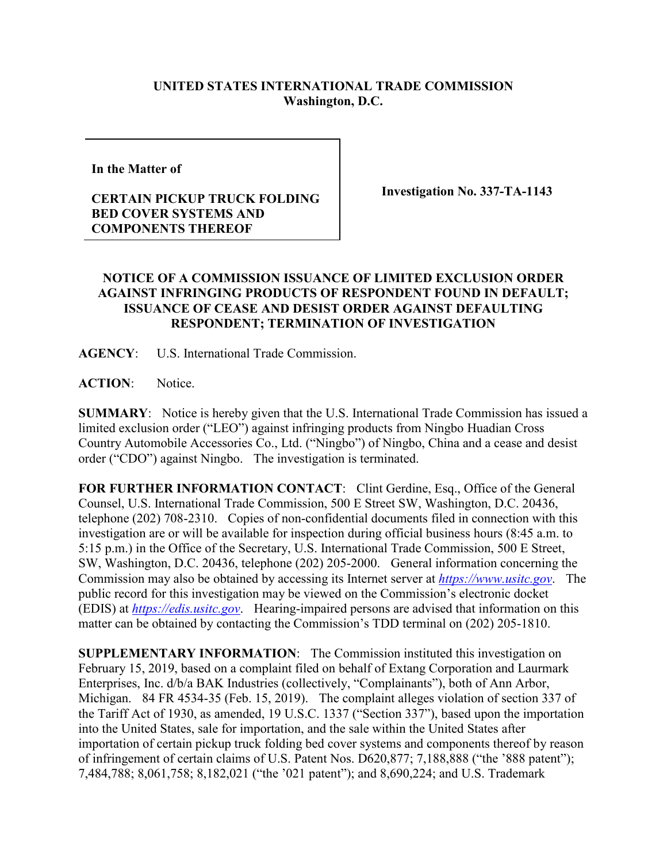## **UNITED STATES INTERNATIONAL TRADE COMMISSION Washington, D.C.**

**In the Matter of** 

## **CERTAIN PICKUP TRUCK FOLDING BED COVER SYSTEMS AND COMPONENTS THEREOF**

**Investigation No. 337-TA-1143**

## **NOTICE OF A COMMISSION ISSUANCE OF LIMITED EXCLUSION ORDER AGAINST INFRINGING PRODUCTS OF RESPONDENT FOUND IN DEFAULT; ISSUANCE OF CEASE AND DESIST ORDER AGAINST DEFAULTING RESPONDENT; TERMINATION OF INVESTIGATION**

**AGENCY**: U.S. International Trade Commission.

**ACTION**: Notice.

**SUMMARY**: Notice is hereby given that the U.S. International Trade Commission has issued a limited exclusion order ("LEO") against infringing products from Ningbo Huadian Cross Country Automobile Accessories Co., Ltd. ("Ningbo") of Ningbo, China and a cease and desist order ("CDO") against Ningbo. The investigation is terminated.

**FOR FURTHER INFORMATION CONTACT:** Clint Gerdine, Esq., Office of the General Counsel, U.S. International Trade Commission, 500 E Street SW, Washington, D.C. 20436, telephone (202) 708-2310. Copies of non-confidential documents filed in connection with this investigation are or will be available for inspection during official business hours (8:45 a.m. to 5:15 p.m.) in the Office of the Secretary, U.S. International Trade Commission, 500 E Street, SW, Washington, D.C. 20436, telephone (202) 205-2000. General information concerning the Commission may also be obtained by accessing its Internet server at *[https://www.usitc.gov](https://www.usitc.gov/)*. The public record for this investigation may be viewed on the Commission's electronic docket (EDIS) at *[https://edis.usitc.gov](https://edis.usitc.gov/)*. Hearing-impaired persons are advised that information on this matter can be obtained by contacting the Commission's TDD terminal on (202) 205-1810.

**SUPPLEMENTARY INFORMATION**: The Commission instituted this investigation on February 15, 2019, based on a complaint filed on behalf of Extang Corporation and Laurmark Enterprises, Inc. d/b/a BAK Industries (collectively, "Complainants"), both of Ann Arbor, Michigan. 84 FR 4534-35 (Feb. 15, 2019). The complaint alleges violation of section 337 of the Tariff Act of 1930, as amended, 19 U.S.C. 1337 ("Section 337"), based upon the importation into the United States, sale for importation, and the sale within the United States after importation of certain pickup truck folding bed cover systems and components thereof by reason of infringement of certain claims of U.S. Patent Nos. D620,877; 7,188,888 ("the '888 patent"); 7,484,788; 8,061,758; 8,182,021 ("the '021 patent"); and 8,690,224; and U.S. Trademark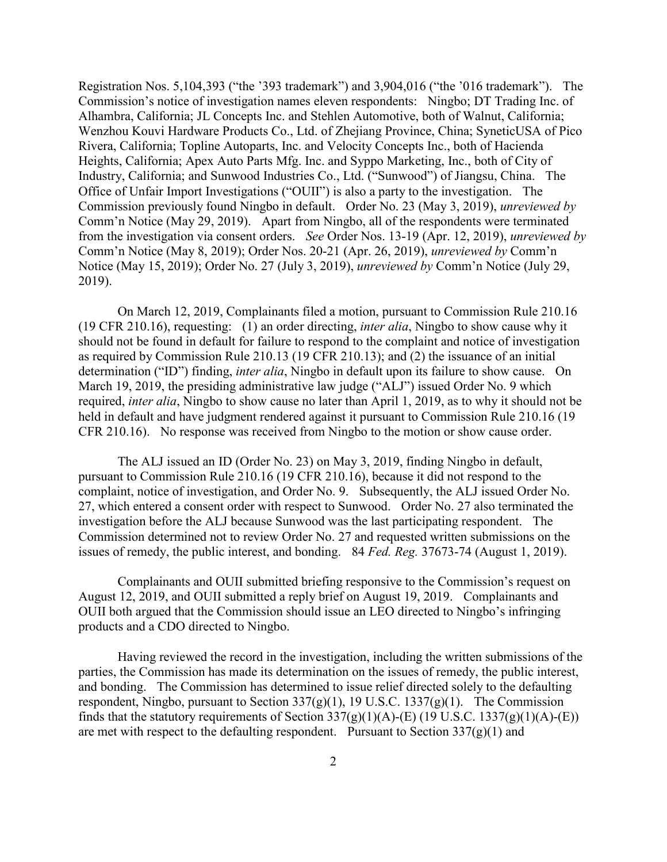Registration Nos. 5,104,393 ("the '393 trademark") and 3,904,016 ("the '016 trademark"). The Commission's notice of investigation names eleven respondents: Ningbo; DT Trading Inc. of Alhambra, California; JL Concepts Inc. and Stehlen Automotive, both of Walnut, California; Wenzhou Kouvi Hardware Products Co., Ltd. of Zhejiang Province, China; SyneticUSA of Pico Rivera, California; Topline Autoparts, Inc. and Velocity Concepts Inc., both of Hacienda Heights, California; Apex Auto Parts Mfg. Inc. and Syppo Marketing, Inc., both of City of Industry, California; and Sunwood Industries Co., Ltd. ("Sunwood") of Jiangsu, China. The Office of Unfair Import Investigations ("OUII") is also a party to the investigation. The Commission previously found Ningbo in default. Order No. 23 (May 3, 2019), *unreviewed by* Comm'n Notice (May 29, 2019). Apart from Ningbo, all of the respondents were terminated from the investigation via consent orders. *See* Order Nos. 13-19 (Apr. 12, 2019), *unreviewed by* Comm'n Notice (May 8, 2019); Order Nos. 20-21 (Apr. 26, 2019), *unreviewed by* Comm'n Notice (May 15, 2019); Order No. 27 (July 3, 2019), *unreviewed by* Comm'n Notice (July 29, 2019).

On March 12, 2019, Complainants filed a motion, pursuant to Commission Rule 210.16 (19 CFR 210.16), requesting: (1) an order directing, *inter alia*, Ningbo to show cause why it should not be found in default for failure to respond to the complaint and notice of investigation as required by Commission Rule 210.13 (19 CFR 210.13); and (2) the issuance of an initial determination ("ID") finding, *inter alia*, Ningbo in default upon its failure to show cause. On March 19, 2019, the presiding administrative law judge ("ALJ") issued Order No. 9 which required, *inter alia*, Ningbo to show cause no later than April 1, 2019, as to why it should not be held in default and have judgment rendered against it pursuant to Commission Rule 210.16 (19 CFR 210.16). No response was received from Ningbo to the motion or show cause order.

The ALJ issued an ID (Order No. 23) on May 3, 2019, finding Ningbo in default, pursuant to Commission Rule 210.16 (19 CFR 210.16), because it did not respond to the complaint, notice of investigation, and Order No. 9. Subsequently, the ALJ issued Order No. 27, which entered a consent order with respect to Sunwood. Order No. 27 also terminated the investigation before the ALJ because Sunwood was the last participating respondent. The Commission determined not to review Order No. 27 and requested written submissions on the issues of remedy, the public interest, and bonding. 84 *Fed. Reg.* 37673-74 (August 1, 2019).

Complainants and OUII submitted briefing responsive to the Commission's request on August 12, 2019, and OUII submitted a reply brief on August 19, 2019. Complainants and OUII both argued that the Commission should issue an LEO directed to Ningbo's infringing products and a CDO directed to Ningbo.

Having reviewed the record in the investigation, including the written submissions of the parties, the Commission has made its determination on the issues of remedy, the public interest, and bonding. The Commission has determined to issue relief directed solely to the defaulting respondent, Ningbo, pursuant to Section  $337(g)(1)$ , 19 U.S.C.  $1337(g)(1)$ . The Commission finds that the statutory requirements of Section  $337(g)(1)(A)$ -(E) (19 U.S.C. 1337(g)(1)(A)-(E)) are met with respect to the defaulting respondent. Pursuant to Section  $337(g)(1)$  and